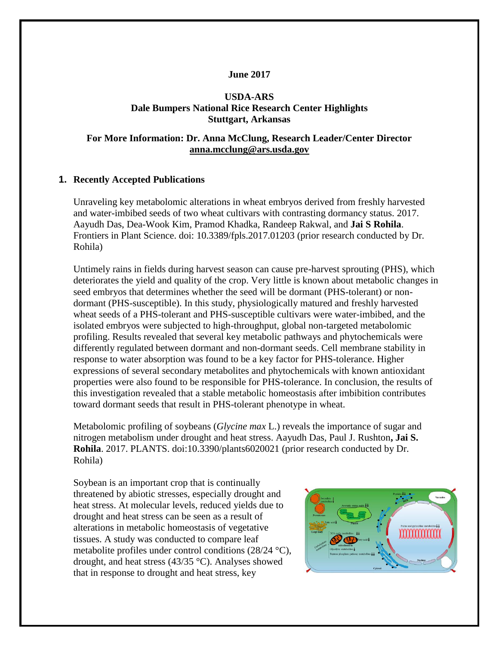### **June 2017**

### **USDA-ARS Dale Bumpers National Rice Research Center Highlights Stuttgart, Arkansas**

### **For More Information: Dr. Anna McClung, Research Leader/Center Director [anna.mcclung@ars.usda.gov](mailto:anna.mcclung@ars.usda.gov)**

#### **1. Recently Accepted Publications**

Unraveling key metabolomic alterations in wheat embryos derived from freshly harvested and water-imbibed seeds of two wheat cultivars with contrasting dormancy status. 2017. Aayudh Das, Dea-Wook Kim, Pramod Khadka, Randeep Rakwal, and **Jai S Rohila**. Frontiers in Plant Science. doi: 10.3389/fpls.2017.01203 (prior research conducted by Dr. Rohila)

Untimely rains in fields during harvest season can cause pre-harvest sprouting (PHS), which deteriorates the yield and quality of the crop. Very little is known about metabolic changes in seed embryos that determines whether the seed will be dormant (PHS-tolerant) or nondormant (PHS-susceptible). In this study, physiologically matured and freshly harvested wheat seeds of a PHS-tolerant and PHS-susceptible cultivars were water-imbibed, and the isolated embryos were subjected to high-throughput, global non-targeted metabolomic profiling. Results revealed that several key metabolic pathways and phytochemicals were differently regulated between dormant and non-dormant seeds. Cell membrane stability in response to water absorption was found to be a key factor for PHS-tolerance. Higher expressions of several secondary metabolites and phytochemicals with known antioxidant properties were also found to be responsible for PHS-tolerance. In conclusion, the results of this investigation revealed that a stable metabolic homeostasis after imbibition contributes toward dormant seeds that result in PHS-tolerant phenotype in wheat.

Metabolomic profiling of soybeans (*Glycine max* L.) reveals the importance of sugar and nitrogen metabolism under drought and heat stress. Aayudh Das, Paul J. Rushton**, Jai S. Rohila**. 2017. PLANTS. doi:10.3390/plants6020021 (prior research conducted by Dr. Rohila)

Soybean is an important crop that is continually threatened by abiotic stresses, especially drought and heat stress. At molecular levels, reduced yields due to drought and heat stress can be seen as a result of alterations in metabolic homeostasis of vegetative tissues. A study was conducted to compare leaf metabolite profiles under control conditions (28/24 °C), drought, and heat stress (43/35 °C). Analyses showed that in response to drought and heat stress, key

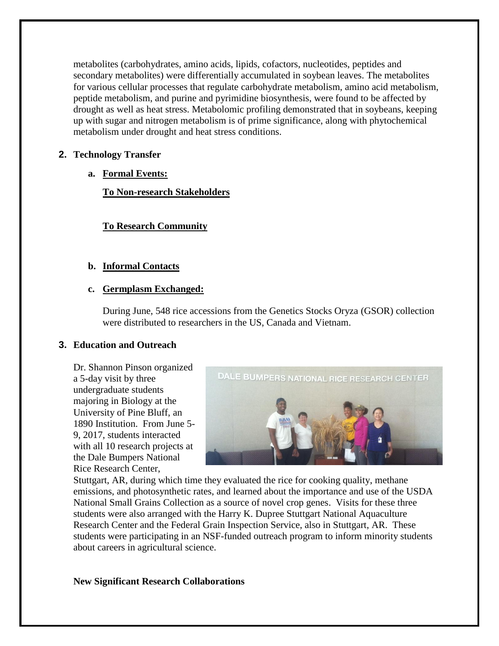metabolites (carbohydrates, amino acids, lipids, cofactors, nucleotides, peptides and secondary metabolites) were differentially accumulated in soybean leaves. The metabolites for various cellular processes that regulate carbohydrate metabolism, amino acid metabolism, peptide metabolism, and purine and pyrimidine biosynthesis, were found to be affected by drought as well as heat stress. Metabolomic profiling demonstrated that in soybeans, keeping up with sugar and nitrogen metabolism is of prime significance, along with phytochemical metabolism under drought and heat stress conditions.

## **2. Technology Transfer**

**a. Formal Events:**

**To Non-research Stakeholders**

# **To Research Community**

## **b. Informal Contacts**

## **c. Germplasm Exchanged:**

During June, 548 rice accessions from the Genetics Stocks Oryza (GSOR) collection were distributed to researchers in the US, Canada and Vietnam.

## **3. Education and Outreach**

Dr. Shannon Pinson organized a 5-day visit by three undergraduate students majoring in Biology at the University of Pine Bluff, an 1890 Institution. From June 5- 9, 2017, students interacted with all 10 research projects at the Dale Bumpers National Rice Research Center,



Stuttgart, AR, during which time they evaluated the rice for cooking quality, methane emissions, and photosynthetic rates, and learned about the importance and use of the USDA National Small Grains Collection as a source of novel crop genes. Visits for these three students were also arranged with the Harry K. Dupree Stuttgart National Aquaculture Research Center and the Federal Grain Inspection Service, also in Stuttgart, AR. These students were participating in an NSF-funded outreach program to inform minority students about careers in agricultural science.

## **New Significant Research Collaborations**